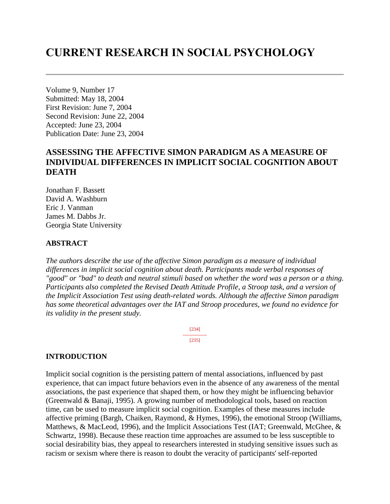# **CURRENT RESEARCH IN SOCIAL PSYCHOLOGY**

Volume 9, Number 17 Submitted: May 18, 2004 First Revision: June 7, 2004 Second Revision: June 22, 2004 Accepted: June 23, 2004 Publication Date: June 23, 2004

# **ASSESSING THE AFFECTIVE SIMON PARADIGM AS A MEASURE OF INDIVIDUAL DIFFERENCES IN IMPLICIT SOCIAL COGNITION ABOUT DEATH**

Jonathan F. Bassett David A. Washburn Eric J. Vanman James M. Dabbs Jr. Georgia State University

#### **ABSTRACT**

*The authors describe the use of the affective Simon paradigm as a measure of individual differences in implicit social cognition about death. Participants made verbal responses of "good" or "bad" to death and neutral stimuli based on whether the word was a person or a thing. Participants also completed the Revised Death Attitude Profile, a Stroop task, and a version of the Implicit Association Test using death-related words. Although the affective Simon paradigm has some theoretical advantages over the IAT and Stroop procedures, we found no evidence for its validity in the present study.* 

> [234] --------------- [235]

#### **INTRODUCTION**

Implicit social cognition is the persisting pattern of mental associations, influenced by past experience, that can impact future behaviors even in the absence of any awareness of the mental associations, the past experience that shaped them, or how they might be influencing behavior (Greenwald & Banaji, 1995). A growing number of methodological tools, based on reaction time, can be used to measure implicit social cognition. Examples of these measures include affective priming (Bargh, Chaiken, Raymond, & Hymes, 1996), the emotional Stroop (Williams, Matthews, & MacLeod, 1996), and the Implicit Associations Test (IAT; Greenwald, McGhee, & Schwartz, 1998). Because these reaction time approaches are assumed to be less susceptible to social desirability bias, they appeal to researchers interested in studying sensitive issues such as racism or sexism where there is reason to doubt the veracity of participants' self-reported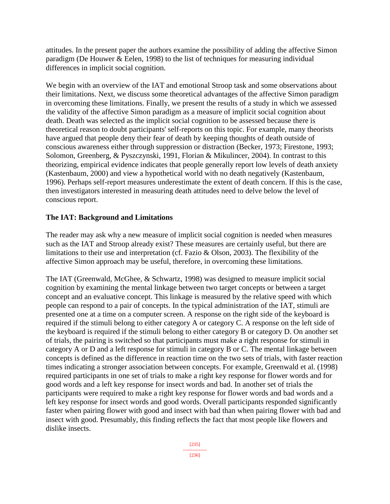attitudes. In the present paper the authors examine the possibility of adding the affective Simon paradigm (De Houwer & Eelen, 1998) to the list of techniques for measuring individual differences in implicit social cognition.

We begin with an overview of the IAT and emotional Stroop task and some observations about their limitations. Next, we discuss some theoretical advantages of the affective Simon paradigm in overcoming these limitations. Finally, we present the results of a study in which we assessed the validity of the affective Simon paradigm as a measure of implicit social cognition about death. Death was selected as the implicit social cognition to be assessed because there is theoretical reason to doubt participants' self-reports on this topic. For example, many theorists have argued that people deny their fear of death by keeping thoughts of death outside of conscious awareness either through suppression or distraction (Becker, 1973; Firestone, 1993; Solomon, Greenberg, & Pyszczynski, 1991, Florian & Mikulincer, 2004). In contrast to this theorizing, empirical evidence indicates that people generally report low levels of death anxiety (Kastenbaum, 2000) and view a hypothetical world with no death negatively (Kastenbaum, 1996). Perhaps self-report measures underestimate the extent of death concern. If this is the case, then investigators interested in measuring death attitudes need to delve below the level of conscious report.

# **The IAT: Background and Limitations**

The reader may ask why a new measure of implicit social cognition is needed when measures such as the IAT and Stroop already exist? These measures are certainly useful, but there are limitations to their use and interpretation (cf. Fazio & Olson, 2003). The flexibility of the affective Simon approach may be useful, therefore, in overcoming these limitations.

The IAT (Greenwald, McGhee, & Schwartz, 1998) was designed to measure implicit social cognition by examining the mental linkage between two target concepts or between a target concept and an evaluative concept. This linkage is measured by the relative speed with which people can respond to a pair of concepts. In the typical administration of the IAT, stimuli are presented one at a time on a computer screen. A response on the right side of the keyboard is required if the stimuli belong to either category A or category C. A response on the left side of the keyboard is required if the stimuli belong to either category B or category D. On another set of trials, the pairing is switched so that participants must make a right response for stimuli in category A or D and a left response for stimuli in category B or C. The mental linkage between concepts is defined as the difference in reaction time on the two sets of trials, with faster reaction times indicating a stronger association between concepts. For example, Greenwald et al. (1998) required participants in one set of trials to make a right key response for flower words and for good words and a left key response for insect words and bad. In another set of trials the participants were required to make a right key response for flower words and bad words and a left key response for insect words and good words. Overall participants responded significantly faster when pairing flower with good and insect with bad than when pairing flower with bad and insect with good. Presumably, this finding reflects the fact that most people like flowers and dislike insects.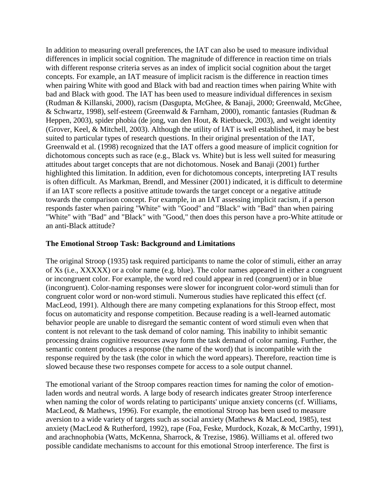In addition to measuring overall preferences, the IAT can also be used to measure individual differences in implicit social cognition. The magnitude of difference in reaction time on trials with different response criteria serves as an index of implicit social cognition about the target concepts. For example, an IAT measure of implicit racism is the difference in reaction times when pairing White with good and Black with bad and reaction times when pairing White with bad and Black with good. The IAT has been used to measure individual differences in sexism (Rudman & Killanski, 2000), racism (Dasgupta, McGhee, & Banaji, 2000; Greenwald, McGhee, & Schwartz, 1998), self-esteem (Greenwald & Farnham, 2000), romantic fantasies (Rudman & Heppen, 2003), spider phobia (de jong, van den Hout, & Rietbueck, 2003), and weight identity (Grover, Keel, & Mitchell, 2003). Although the utility of IAT is well established, it may be best suited to particular types of research questions. In their original presentation of the IAT, Greenwald et al. (1998) recognized that the IAT offers a good measure of implicit cognition for dichotomous concepts such as race (e.g., Black vs. White) but is less well suited for measuring attitudes about target concepts that are not dichotomous. Nosek and Banaji (2001) further highlighted this limitation. In addition, even for dichotomous concepts, interpreting IAT results is often difficult. As Markman, Brendl, and Messiner (2001) indicated, it is difficult to determine if an IAT score reflects a positive attitude towards the target concept or a negative attitude towards the comparison concept. For example, in an IAT assessing implicit racism, if a person responds faster when pairing "White" with "Good" and "Black" with "Bad" than when pairing "White" with "Bad" and "Black" with "Good," then does this person have a pro-White attitude or an anti-Black attitude?

#### **The Emotional Stroop Task: Background and Limitations**

The original Stroop (1935) task required participants to name the color of stimuli, either an array of Xs (i.e., XXXXX) or a color name (e.g. blue). The color names appeared in either a congruent or incongruent color. For example, the word red could appear in red (congruent) or in blue (incongruent). Color-naming responses were slower for incongruent color-word stimuli than for congruent color word or non-word stimuli. Numerous studies have replicated this effect (cf. MacLeod, 1991). Although there are many competing explanations for this Stroop effect, most focus on automaticity and response competition. Because reading is a well-learned automatic behavior people are unable to disregard the semantic content of word stimuli even when that content is not relevant to the task demand of color naming. This inability to inhibit semantic processing drains cognitive resources away form the task demand of color naming. Further, the semantic content produces a response (the name of the word) that is incompatible with the response required by the task (the color in which the word appears). Therefore, reaction time is slowed because these two responses compete for access to a sole output channel.

The emotional variant of the Stroop compares reaction times for naming the color of emotionladen words and neutral words. A large body of research indicates greater Stroop interference when naming the color of words relating to participants' unique anxiety concerns (cf. Williams, MacLeod, & Mathews, 1996). For example, the emotional Stroop has been used to measure aversion to a wide variety of targets such as social anxiety (Mathews & MacLeod, 1985), test anxiety (MacLeod & Rutherford, 1992), rape (Foa, Feske, Murdock, Kozak, & McCarthy, 1991), and arachnophobia (Watts, McKenna, Sharrock, & Trezise, 1986). Williams et al. offered two possible candidate mechanisms to account for this emotional Stroop interference. The first is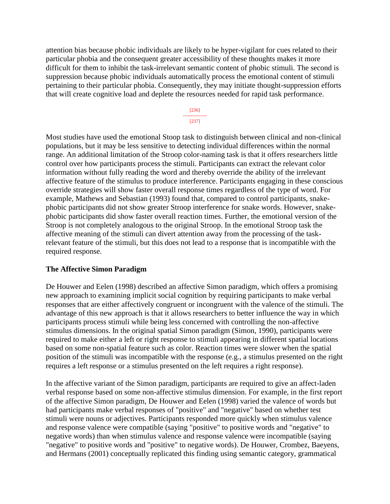attention bias because phobic individuals are likely to be hyper-vigilant for cues related to their particular phobia and the consequent greater accessibility of these thoughts makes it more difficult for them to inhibit the task-irrelevant semantic content of phobic stimuli. The second is suppression because phobic individuals automatically process the emotional content of stimuli pertaining to their particular phobia. Consequently, they may initiate thought-suppression efforts that will create cognitive load and deplete the resources needed for rapid task performance.



Most studies have used the emotional Stoop task to distinguish between clinical and non-clinical populations, but it may be less sensitive to detecting individual differences within the normal range. An additional limitation of the Stroop color-naming task is that it offers researchers little control over how participants process the stimuli. Participants can extract the relevant color information without fully reading the word and thereby override the ability of the irrelevant affective feature of the stimulus to produce interference. Participants engaging in these conscious override strategies will show faster overall response times regardless of the type of word. For example, Mathews and Sebastian (1993) found that, compared to control participants, snakephobic participants did not show greater Stroop interference for snake words. However, snakephobic participants did show faster overall reaction times. Further, the emotional version of the Stroop is not completely analogous to the original Stroop. In the emotional Stroop task the affective meaning of the stimuli can divert attention away from the processing of the taskrelevant feature of the stimuli, but this does not lead to a response that is incompatible with the required response.

### **The Affective Simon Paradigm**

De Houwer and Eelen (1998) described an affective Simon paradigm, which offers a promising new approach to examining implicit social cognition by requiring participants to make verbal responses that are either affectively congruent or incongruent with the valence of the stimuli. The advantage of this new approach is that it allows researchers to better influence the way in which participants process stimuli while being less concerned with controlling the non-affective stimulus dimensions. In the original spatial Simon paradigm (Simon, 1990), participants were required to make either a left or right response to stimuli appearing in different spatial locations based on some non-spatial feature such as color. Reaction times were slower when the spatial position of the stimuli was incompatible with the response (e.g., a stimulus presented on the right requires a left response or a stimulus presented on the left requires a right response).

In the affective variant of the Simon paradigm, participants are required to give an affect-laden verbal response based on some non-affective stimulus dimension. For example, in the first report of the affective Simon paradigm, De Houwer and Eelen (1998) varied the valence of words but had participants make verbal responses of "positive" and "negative" based on whether test stimuli were nouns or adjectives. Participants responded more quickly when stimulus valence and response valence were compatible (saying "positive" to positive words and "negative" to negative words) than when stimulus valence and response valence were incompatible (saying "negative" to positive words and "positive" to negative words). De Houwer, Crombez, Baeyens, and Hermans (2001) conceptually replicated this finding using semantic category, grammatical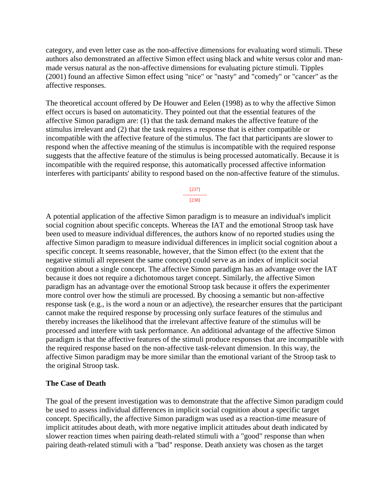category, and even letter case as the non-affective dimensions for evaluating word stimuli. These authors also demonstrated an affective Simon effect using black and white versus color and manmade versus natural as the non-affective dimensions for evaluating picture stimuli. Tipples (2001) found an affective Simon effect using "nice" or "nasty" and "comedy" or "cancer" as the affective responses.

The theoretical account offered by De Houwer and Eelen (1998) as to why the affective Simon effect occurs is based on automaticity. They pointed out that the essential features of the affective Simon paradigm are: (1) that the task demand makes the affective feature of the stimulus irrelevant and (2) that the task requires a response that is either compatible or incompatible with the affective feature of the stimulus. The fact that participants are slower to respond when the affective meaning of the stimulus is incompatible with the required response suggests that the affective feature of the stimulus is being processed automatically. Because it is incompatible with the required response, this automatically processed affective information interferes with participants' ability to respond based on the non-affective feature of the stimulus.

> [237] --------------- [238]

A potential application of the affective Simon paradigm is to measure an individual's implicit social cognition about specific concepts. Whereas the IAT and the emotional Stroop task have been used to measure individual differences, the authors know of no reported studies using the affective Simon paradigm to measure individual differences in implicit social cognition about a specific concept. It seems reasonable, however, that the Simon effect (to the extent that the negative stimuli all represent the same concept) could serve as an index of implicit social cognition about a single concept. The affective Simon paradigm has an advantage over the IAT because it does not require a dichotomous target concept. Similarly, the affective Simon paradigm has an advantage over the emotional Stroop task because it offers the experimenter more control over how the stimuli are processed. By choosing a semantic but non-affective response task (e.g., is the word a noun or an adjective), the researcher ensures that the participant cannot make the required response by processing only surface features of the stimulus and thereby increases the likelihood that the irrelevant affective feature of the stimulus will be processed and interfere with task performance. An additional advantage of the affective Simon paradigm is that the affective features of the stimuli produce responses that are incompatible with the required response based on the non-affective task-relevant dimension. In this way, the affective Simon paradigm may be more similar than the emotional variant of the Stroop task to the original Stroop task.

### **The Case of Death**

The goal of the present investigation was to demonstrate that the affective Simon paradigm could be used to assess individual differences in implicit social cognition about a specific target concept. Specifically, the affective Simon paradigm was used as a reaction-time measure of implicit attitudes about death, with more negative implicit attitudes about death indicated by slower reaction times when pairing death-related stimuli with a "good" response than when pairing death-related stimuli with a "bad" response. Death anxiety was chosen as the target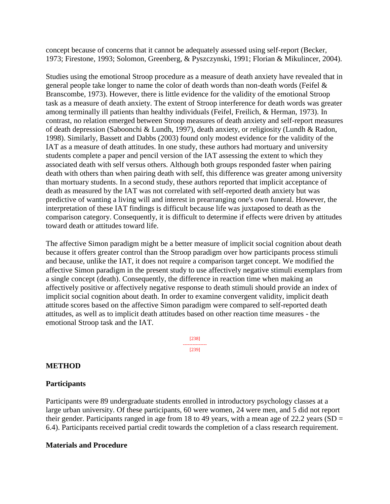concept because of concerns that it cannot be adequately assessed using self-report (Becker, 1973; Firestone, 1993; Solomon, Greenberg, & Pyszczynski, 1991; Florian & Mikulincer, 2004).

Studies using the emotional Stroop procedure as a measure of death anxiety have revealed that in general people take longer to name the color of death words than non-death words (Feifel & Branscombe, 1973). However, there is little evidence for the validity of the emotional Stroop task as a measure of death anxiety. The extent of Stroop interference for death words was greater among terminally ill patients than healthy individuals (Feifel, Freilich, & Herman, 1973). In contrast, no relation emerged between Stroop measures of death anxiety and self-report measures of death depression (Saboonchi & Lundh, 1997), death anxiety, or religiosity (Lundh & Radon, 1998). Similarly, Bassett and Dabbs (2003) found only modest evidence for the validity of the IAT as a measure of death attitudes. In one study, these authors had mortuary and university students complete a paper and pencil version of the IAT assessing the extent to which they associated death with self versus others. Although both groups responded faster when pairing death with others than when pairing death with self, this difference was greater among university than mortuary students. In a second study, these authors reported that implicit acceptance of death as measured by the IAT was not correlated with self-reported death anxiety but was predictive of wanting a living will and interest in prearranging one's own funeral. However, the interpretation of these IAT findings is difficult because life was juxtaposed to death as the comparison category. Consequently, it is difficult to determine if effects were driven by attitudes toward death or attitudes toward life.

The affective Simon paradigm might be a better measure of implicit social cognition about death because it offers greater control than the Stroop paradigm over how participants process stimuli and because, unlike the IAT, it does not require a comparison target concept. We modified the affective Simon paradigm in the present study to use affectively negative stimuli exemplars from a single concept (death). Consequently, the difference in reaction time when making an affectively positive or affectively negative response to death stimuli should provide an index of implicit social cognition about death. In order to examine convergent validity, implicit death attitude scores based on the affective Simon paradigm were compared to self-reported death attitudes, as well as to implicit death attitudes based on other reaction time measures - the emotional Stroop task and the IAT.

> [238] --------------- [239]

# **METHOD**

### **Participants**

Participants were 89 undergraduate students enrolled in introductory psychology classes at a large urban university. Of these participants, 60 were women, 24 were men, and 5 did not report their gender. Participants ranged in age from 18 to 49 years, with a mean age of 22.2 years (SD  $=$ 6.4). Participants received partial credit towards the completion of a class research requirement.

### **Materials and Procedure**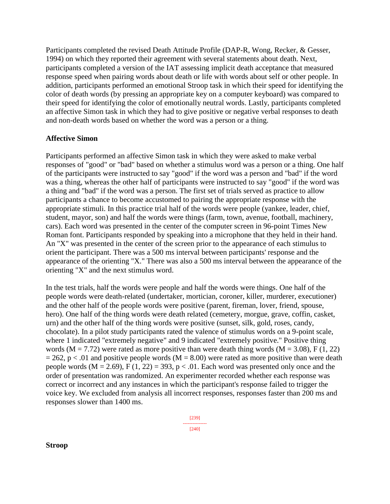Participants completed the revised Death Attitude Profile (DAP-R, Wong, Recker, & Gesser, 1994) on which they reported their agreement with several statements about death. Next, participants completed a version of the IAT assessing implicit death acceptance that measured response speed when pairing words about death or life with words about self or other people. In addition, participants performed an emotional Stroop task in which their speed for identifying the color of death words (by pressing an appropriate key on a computer keyboard) was compared to their speed for identifying the color of emotionally neutral words. Lastly, participants completed an affective Simon task in which they had to give positive or negative verbal responses to death and non-death words based on whether the word was a person or a thing.

## **Affective Simon**

Participants performed an affective Simon task in which they were asked to make verbal responses of "good" or "bad" based on whether a stimulus word was a person or a thing. One half of the participants were instructed to say "good" if the word was a person and "bad" if the word was a thing, whereas the other half of participants were instructed to say "good" if the word was a thing and "bad" if the word was a person. The first set of trials served as practice to allow participants a chance to become accustomed to pairing the appropriate response with the appropriate stimuli. In this practice trial half of the words were people (yankee, leader, chief, student, mayor, son) and half the words were things (farm, town, avenue, football, machinery, cars). Each word was presented in the center of the computer screen in 96-point Times New Roman font. Participants responded by speaking into a microphone that they held in their hand. An "X" was presented in the center of the screen prior to the appearance of each stimulus to orient the participant. There was a 500 ms interval between participants' response and the appearance of the orienting "X." There was also a 500 ms interval between the appearance of the orienting "X" and the next stimulus word.

In the test trials, half the words were people and half the words were things. One half of the people words were death-related (undertaker, mortician, coroner, killer, murderer, executioner) and the other half of the people words were positive (parent, fireman, lover, friend, spouse, hero). One half of the thing words were death related (cemetery, morgue, grave, coffin, casket, urn) and the other half of the thing words were positive (sunset, silk, gold, roses, candy, chocolate). In a pilot study participants rated the valence of stimulus words on a 9-point scale, where 1 indicated "extremely negative" and 9 indicated "extremely positive." Positive thing words ( $M = 7.72$ ) were rated as more positive than were death thing words ( $M = 3.08$ ), F (1, 22)  $= 262$ , p < .01 and positive people words (M = 8.00) were rated as more positive than were death people words ( $M = 2.69$ ),  $F(1, 22) = 393$ ,  $p < .01$ . Each word was presented only once and the order of presentation was randomized. An experimenter recorded whether each response was correct or incorrect and any instances in which the participant's response failed to trigger the voice key. We excluded from analysis all incorrect responses, responses faster than 200 ms and responses slower than 1400 ms.

> [239] --------------- [240]

**Stroop**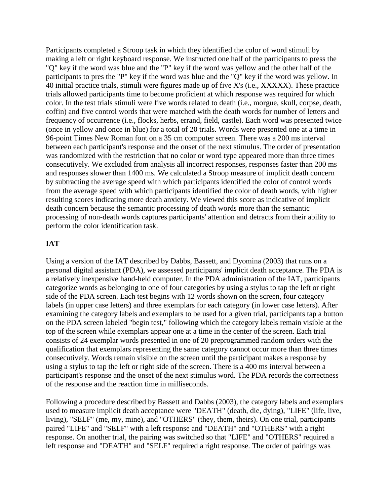Participants completed a Stroop task in which they identified the color of word stimuli by making a left or right keyboard response. We instructed one half of the participants to press the "Q" key if the word was blue and the "P" key if the word was yellow and the other half of the participants to pres the "P" key if the word was blue and the "Q" key if the word was yellow. In 40 initial practice trials, stimuli were figures made up of five X's (i.e., XXXXX). These practice trials allowed participants time to become proficient at which response was required for which color. In the test trials stimuli were five words related to death (i.e., morgue, skull, corpse, death, coffin) and five control words that were matched with the death words for number of letters and frequency of occurrence (i.e., flocks, herbs, errand, field, castle). Each word was presented twice (once in yellow and once in blue) for a total of 20 trials. Words were presented one at a time in 96-point Times New Roman font on a 35 cm computer screen. There was a 200 ms interval between each participant's response and the onset of the next stimulus. The order of presentation was randomized with the restriction that no color or word type appeared more than three times consecutively. We excluded from analysis all incorrect responses, responses faster than 200 ms and responses slower than 1400 ms. We calculated a Stroop measure of implicit death concern by subtracting the average speed with which participants identified the color of control words from the average speed with which participants identified the color of death words, with higher resulting scores indicating more death anxiety. We viewed this score as indicative of implicit death concern because the semantic processing of death words more than the semantic processing of non-death words captures participants' attention and detracts from their ability to perform the color identification task.

# **IAT**

Using a version of the IAT described by Dabbs, Bassett, and Dyomina (2003) that runs on a personal digital assistant (PDA), we assessed participants' implicit death acceptance. The PDA is a relatively inexpensive hand-held computer. In the PDA administration of the IAT, participants categorize words as belonging to one of four categories by using a stylus to tap the left or right side of the PDA screen. Each test begins with 12 words shown on the screen, four category labels (in upper case letters) and three exemplars for each category (in lower case letters). After examining the category labels and exemplars to be used for a given trial, participants tap a button on the PDA screen labeled "begin test," following which the category labels remain visible at the top of the screen while exemplars appear one at a time in the center of the screen. Each trial consists of 24 exemplar words presented in one of 20 preprogrammed random orders with the qualification that exemplars representing the same category cannot occur more than three times consecutively. Words remain visible on the screen until the participant makes a response by using a stylus to tap the left or right side of the screen. There is a 400 ms interval between a participant's response and the onset of the next stimulus word. The PDA records the correctness of the response and the reaction time in milliseconds.

Following a procedure described by Bassett and Dabbs (2003), the category labels and exemplars used to measure implicit death acceptance were "DEATH" (death, die, dying), "LIFE" (life, live, living), "SELF" (me, my, mine), and "OTHERS" (they, them, theirs). On one trial, participants paired "LIFE" and "SELF" with a left response and "DEATH" and "OTHERS" with a right response. On another trial, the pairing was switched so that "LIFE" and "OTHERS" required a left response and "DEATH" and "SELF" required a right response. The order of pairings was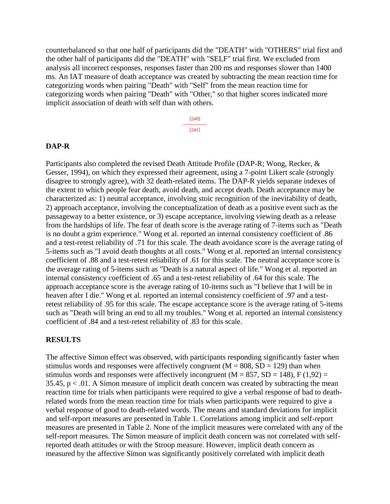counterbalanced so that one half of participants did the "DEATH" with "OTHERS" trial first and the other half of participants did the "DEATH" with "SELF" trial first. We excluded from analysis all incorrect responses, responses faster than 200 ms and responses slower than 1400 ms. An IAT measure of death acceptance was created by subtracting the mean reaction time for categorizing words when pairing "Death" with "Self" from the mean reaction time for categorizing words when pairing "Death" with "Other," so that higher scores indicated more implicit association of death with self than with others.

> [240] --------------- [241]

#### **DAP-R**

Participants also completed the revised Death Attitude Profile (DAP-R; Wong, Recker, & Gesser, 1994), on which they expressed their agreement, using a 7-point Likert scale (strongly disagree to strongly agree), with 32 death-related items. The DAP-R yields separate indexes of the extent to which people fear death, avoid death, and accept death. Death acceptance may be characterized as: 1) neutral acceptance, involving stoic recognition of the inevitability of death, 2) approach acceptance, involving the conceptualization of death as a positive event such as the passageway to a better existence, or 3) escape acceptance, involving viewing death as a release from the hardships of life. The fear of death score is the average rating of 7-items such as "Death is no doubt a grim experience." Wong et al. reported an internal consistency coefficient of .86 and a test-retest reliability of .71 for this scale. The death avoidance score is the average rating of 5-items such as "I avoid death thoughts at all costs." Wong et al. reported an internal consistency coefficient of .88 and a test-retest reliability of .61 for this scale. The neutral acceptance score is the average rating of 5-items such as "Death is a natural aspect of life." Wong et al. reported an internal consistency coefficient of .65 and a test-retest reliability of .64 for this scale. The approach acceptance score is the average rating of 10-items such as "I believe that I will be in heaven after I die." Wong et al. reported an internal consistency coefficient of .97 and a testretest reliability of .95 for this scale. The escape acceptance score is the average rating of 5-items such as "Death will bring an end to all my troubles." Wong et al. reported an internal consistency coefficient of .84 and a test-retest reliability of .83 for this scale.

#### **RESULTS**

The affective Simon effect was observed, with participants responding significantly faster when stimulus words and responses were affectively congruent ( $M = 808$ ,  $SD = 129$ ) than when stimulus words and responses were affectively incongruent ( $M = 857$ ,  $SD = 148$ ),  $F(1,92) =$ 35.45,  $p < 0.01$ . A Simon measure of implicit death concern was created by subtracting the mean reaction time for trials when participants were required to give a verbal response of bad to deathrelated words from the mean reaction time for trials when participants were required to give a verbal response of good to death-related words. The means and standard deviations for implicit and self-report measures are presented in Table 1. Correlations among implicit and self-report measures are presented in Table 2. None of the implicit measures were correlated with any of the self-report measures. The Simon measure of implicit death concern was not correlated with selfreported death attitudes or with the Stroop measure. However, implicit death concern as measured by the affective Simon was significantly positively correlated with implicit death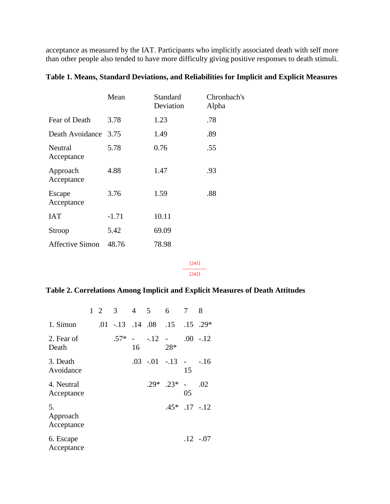acceptance as measured by the IAT. Participants who implicitly associated death with self more than other people also tended to have more difficulty giving positive responses to death stimuli.

| Table 1. Means, Standard Deviations, and Reliabilities for Implicit and Explicit Measures |  |  |  |
|-------------------------------------------------------------------------------------------|--|--|--|
|                                                                                           |  |  |  |

|                        | Mean    | Standard<br>Deviation | Chronbach's<br>Alpha |
|------------------------|---------|-----------------------|----------------------|
| Fear of Death          | 3.78    | 1.23                  | .78                  |
| Death Avoidance        | 3.75    | 1.49                  | .89                  |
| Neutral<br>Acceptance  | 5.78    | 0.76                  | .55                  |
| Approach<br>Acceptance | 4.88    | 1.47                  | .93                  |
| Escape<br>Acceptance   | 3.76    | 1.59                  | .88                  |
| <b>IAT</b>             | $-1.71$ | 10.11                 |                      |
| Stroop                 | 5.42    | 69.09                 |                      |
| <b>Affective Simon</b> | 48.76   | 78.98                 |                      |

[241] --------------- [242]

# **Table 2. Correlations Among Implicit and Explicit Measures of Death Attitudes**

|                              |  | $1\quad 2\quad 3$ |    | $4\quad 5\quad 6$                           |                   |                      | 8           |
|------------------------------|--|-------------------|----|---------------------------------------------|-------------------|----------------------|-------------|
| 1. Simon                     |  |                   |    | $.01$ $-.13$ $.14$ $.08$ $.15$ $.15$ $.29*$ |                   |                      |             |
| 2. Fear of<br>Death          |  | $.57*$            | 16 | $-.12$ $-.00$ $-.12$                        | $28*$             |                      |             |
| 3. Death<br>Avoidance        |  |                   |    | $.03$ $-.01$ $-.13$ $- .16$                 |                   | 15                   |             |
| 4. Neutral<br>Acceptance     |  |                   |    | $29*$                                       | $.23*$            | $\overline{a}$<br>05 | .02         |
| 5.<br>Approach<br>Acceptance |  |                   |    |                                             | $.45*$ .17 $-.12$ |                      |             |
| 6. Escape<br>Acceptance      |  |                   |    |                                             |                   |                      | $.12 - .07$ |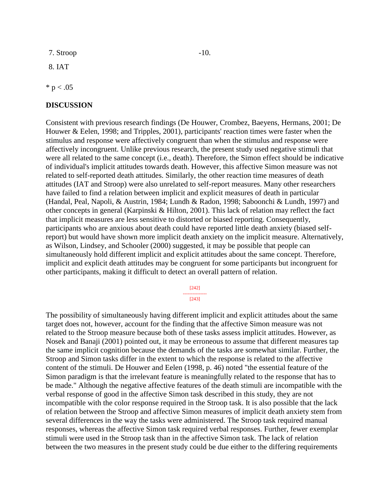$7.$  Stroop  $-10$ .

8. IAT

 $* p < .05$ 

#### **DISCUSSION**

Consistent with previous research findings (De Houwer, Crombez, Baeyens, Hermans, 2001; De Houwer & Eelen, 1998; and Tripples, 2001), participants' reaction times were faster when the stimulus and response were affectively congruent than when the stimulus and response were affectively incongruent. Unlike previous research, the present study used negative stimuli that were all related to the same concept (i.e., death). Therefore, the Simon effect should be indicative of individual's implicit attitudes towards death. However, this affective Simon measure was not related to self-reported death attitudes. Similarly, the other reaction time measures of death attitudes (IAT and Stroop) were also unrelated to self-report measures. Many other researchers have failed to find a relation between implicit and explicit measures of death in particular (Handal, Peal, Napoli, & Austrin, 1984; Lundh & Radon, 1998; Saboonchi & Lundh, 1997) and other concepts in general (Karpinski & Hilton, 2001). This lack of relation may reflect the fact that implicit measures are less sensitive to distorted or biased reporting. Consequently, participants who are anxious about death could have reported little death anxiety (biased selfreport) but would have shown more implicit death anxiety on the implicit measure. Alternatively, as Wilson, Lindsey, and Schooler (2000) suggested, it may be possible that people can simultaneously hold different implicit and explicit attitudes about the same concept. Therefore, implicit and explicit death attitudes may be congruent for some participants but incongruent for other participants, making it difficult to detect an overall pattern of relation.

[242]

#### --------------- [243]

The possibility of simultaneously having different implicit and explicit attitudes about the same target does not, however, account for the finding that the affective Simon measure was not related to the Stroop measure because both of these tasks assess implicit attitudes. However, as Nosek and Banaji (2001) pointed out, it may be erroneous to assume that different measures tap the same implicit cognition because the demands of the tasks are somewhat similar. Further, the Stroop and Simon tasks differ in the extent to which the response is related to the affective content of the stimuli. De Houwer and Eelen (1998, p. 46) noted "the essential feature of the Simon paradigm is that the irrelevant feature is meaningfully related to the response that has to be made." Although the negative affective features of the death stimuli are incompatible with the verbal response of good in the affective Simon task described in this study, they are not incompatible with the color response required in the Stroop task. It is also possible that the lack of relation between the Stroop and affective Simon measures of implicit death anxiety stem from several differences in the way the tasks were administered. The Stroop task required manual responses, whereas the affective Simon task required verbal responses. Further, fewer exemplar stimuli were used in the Stroop task than in the affective Simon task. The lack of relation between the two measures in the present study could be due either to the differing requirements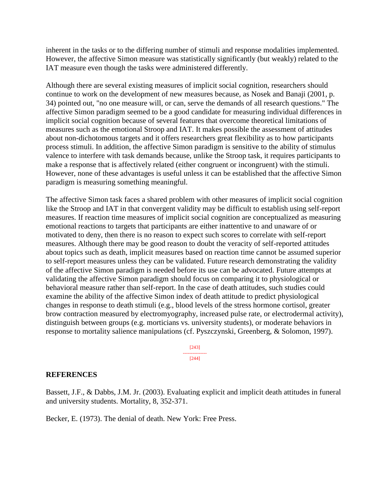inherent in the tasks or to the differing number of stimuli and response modalities implemented. However, the affective Simon measure was statistically significantly (but weakly) related to the IAT measure even though the tasks were administered differently.

Although there are several existing measures of implicit social cognition, researchers should continue to work on the development of new measures because, as Nosek and Banaji (2001, p. 34) pointed out, "no one measure will, or can, serve the demands of all research questions." The affective Simon paradigm seemed to be a good candidate for measuring individual differences in implicit social cognition because of several features that overcome theoretical limitations of measures such as the emotional Stroop and IAT. It makes possible the assessment of attitudes about non-dichotomous targets and it offers researchers great flexibility as to how participants process stimuli. In addition, the affective Simon paradigm is sensitive to the ability of stimulus valence to interfere with task demands because, unlike the Stroop task, it requires participants to make a response that is affectively related (either congruent or incongruent) with the stimuli. However, none of these advantages is useful unless it can be established that the affective Simon paradigm is measuring something meaningful.

The affective Simon task faces a shared problem with other measures of implicit social cognition like the Stroop and IAT in that convergent validity may be difficult to establish using self-report measures. If reaction time measures of implicit social cognition are conceptualized as measuring emotional reactions to targets that participants are either inattentive to and unaware of or motivated to deny, then there is no reason to expect such scores to correlate with self-report measures. Although there may be good reason to doubt the veracity of self-reported attitudes about topics such as death, implicit measures based on reaction time cannot be assumed superior to self-report measures unless they can be validated. Future research demonstrating the validity of the affective Simon paradigm is needed before its use can be advocated. Future attempts at validating the affective Simon paradigm should focus on comparing it to physiological or behavioral measure rather than self-report. In the case of death attitudes, such studies could examine the ability of the affective Simon index of death attitude to predict physiological changes in response to death stimuli (e.g., blood levels of the stress hormone cortisol, greater brow contraction measured by electromyography, increased pulse rate, or electrodermal activity), distinguish between groups (e.g. morticians vs. university students), or moderate behaviors in response to mortality salience manipulations (cf. Pyszczynski, Greenberg, & Solomon, 1997).

> [243] --------------- [244]

### **REFERENCES**

Bassett, J.F., & Dabbs, J.M. Jr. (2003). Evaluating explicit and implicit death attitudes in funeral and university students. Mortality, 8, 352-371.

Becker, E. (1973). The denial of death. New York: Free Press.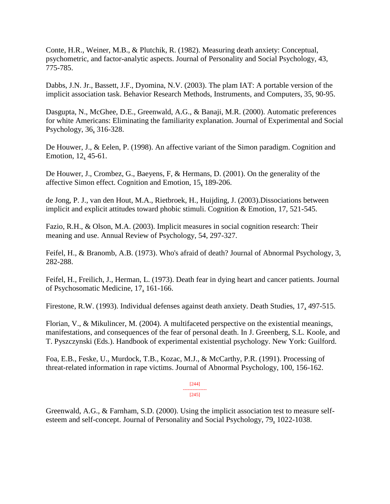Conte, H.R., Weiner, M.B., & Plutchik, R. (1982). Measuring death anxiety: Conceptual, psychometric, and factor-analytic aspects. Journal of Personality and Social Psychology, 43, 775-785.

Dabbs, J.N. Jr., Bassett, J.F., Dyomina, N.V. (2003). The plam IAT: A portable version of the implicit association task. Behavior Research Methods, Instruments, and Computers, 35, 90-95.

Dasgupta, N., McGhee, D.E., Greenwald, A.G., & Banaji, M.R. (2000). Automatic preferences for white Americans: Eliminating the familiarity explanation. Journal of Experimental and Social Psychology, 36, 316-328.

De Houwer, J., & Eelen, P. (1998). An affective variant of the Simon paradigm. Cognition and Emotion, 12, 45-61.

De Houwer, J., Crombez, G., Baeyens, F, & Hermans, D. (2001). On the generality of the affective Simon effect. Cognition and Emotion, 15, 189-206.

de Jong, P. J., van den Hout, M.A., Rietbroek, H., Huijding, J. (2003).Dissociations between implicit and explicit attitudes toward phobic stimuli. Cognition & Emotion, 17, 521-545.

Fazio, R.H., & Olson, M.A. (2003). Implicit measures in social cognition research: Their meaning and use. Annual Review of Psychology, 54, 297-327.

Feifel, H., & Branomb, A.B. (1973). Who's afraid of death? Journal of Abnormal Psychology, 3, 282-288.

Feifel, H., Freilich, J., Herman, L. (1973). Death fear in dying heart and cancer patients. Journal of Psychosomatic Medicine, 17, 161-166.

Firestone, R.W. (1993). Individual defenses against death anxiety. Death Studies, 17, 497-515.

Florian, V., & Mikulincer, M. (2004). A multifaceted perspective on the existential meanings, manifestations, and consequences of the fear of personal death. In J. Greenberg, S.L. Koole, and T. Pyszczynski (Eds.). Handbook of experimental existential psychology. New York: Guilford.

Foa, E.B., Feske, U., Murdock, T.B., Kozac, M.J., & McCarthy, P.R. (1991). Processing of threat-related information in rape victims. Journal of Abnormal Psychology, 100, 156-162.

> [244] --------------- [245]

Greenwald, A.G., & Farnham, S.D. (2000). Using the implicit association test to measure selfesteem and self-concept. Journal of Personality and Social Psychology, 79, 1022-1038.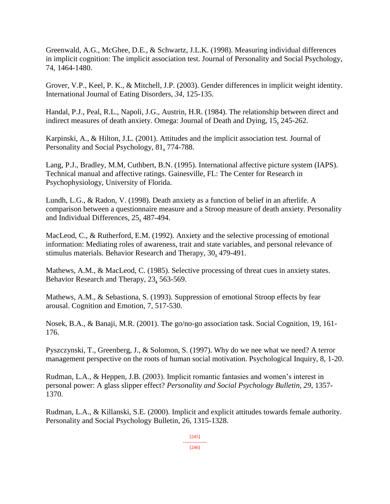Greenwald, A.G., McGhee, D.E., & Schwartz, J.L.K. (1998). Measuring individual differences in implicit cognition: The implicit association test. Journal of Personality and Social Psychology, 74, 1464-1480.

Grover, V.P., Keel, P. K., & Mitchell, J.P. (2003). Gender differences in implicit weight identity. International Journal of Eating Disorders, *34*, 125-135.

Handal, P.J., Peal, R.L., Napoli, J.G., Austrin, H.R. (1984). The relationship between direct and indirect measures of death anxiety. Omega: Journal of Death and Dying, 15, 245-262.

Karpinski, A., & Hilton, J.L. (2001). Attitudes and the implicit association test. Journal of Personality and Social Psychology, 81, 774-788.

Lang, P.J., Bradley, M.M, Cuthbert, B.N. (1995). International affective picture system (IAPS). Technical manual and affective ratings. Gainesville, FL: The Center for Research in Psychophysiology, University of Florida.

Lundh, L.G., & Radon, V. (1998). Death anxiety as a function of belief in an afterlife. A comparison between a questionnaire measure and a Stroop measure of death anxiety. Personality and Individual Differences, 25, 487-494.

MacLeod, C., & Rutherford, E.M. (1992). Anxiety and the selective processing of emotional information: Mediating roles of awareness, trait and state variables, and personal relevance of stimulus materials. Behavior Research and Therapy, 30, 479-491.

Mathews, A.M., & MacLeod, C. (1985). Selective processing of threat cues in anxiety states. Behavior Research and Therapy, 23, 563-569.

Mathews, A.M., & Sebastiona, S. (1993). Suppression of emotional Stroop effects by fear arousal. Cognition and Emotion, 7*,* 517-530.

Nosek, B.A., & Banaji, M.R. (2001). The go/no-go association task. Social Cognition, 19, 161- 176.

Pyszczynski, T., Greenberg, J., & Solomon, S. (1997). Why do we nee what we need? A terror management perspective on the roots of human social motivation. Psychological Inquiry, 8, 1-20.

Rudman, L.A., & Heppen, J.B. (2003). Implicit romantic fantasies and women's interest in personal power: A glass slipper effect? *Personality and Social Psychology Bulletin, 29*, 1357- 1370.

Rudman, L.A., & Killanski, S.E. (2000). Implicit and explicit attitudes towards female authority. Personality and Social Psychology Bulletin, 26, 1315-1328.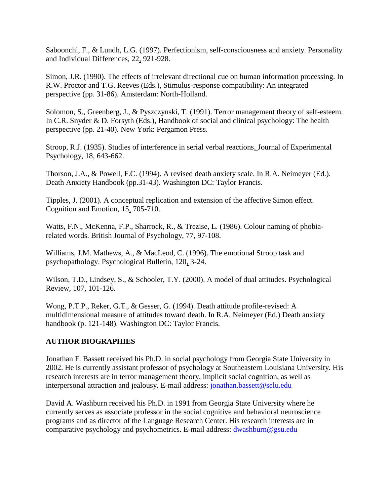Saboonchi, F., & Lundh, L.G. (1997). Perfectionism, self-consciousness and anxiety. Personality and Individual Differences, 22, 921-928.

Simon, J.R. (1990). The effects of irrelevant directional cue on human information processing. In R.W. Proctor and T.G. Reeves (Eds.), Stimulus-response compatibility: An integrated perspective (pp. 31-86). Amsterdam: North-Holland.

Solomon, S., Greenberg, J., & Pyszczynski, T. (1991). Terror management theory of self-esteem. In C.R. Snyder & D. Forsyth (Eds.), Handbook of social and clinical psychology: The health perspective (pp. 21-40). New York: Pergamon Press.

Stroop, R.J. (1935). Studies of interference in serial verbal reactions. Journal of Experimental Psychology, 18*,* 643-662.

Thorson, J.A., & Powell, F.C. (1994). A revised death anxiety scale. In R.A. Neimeyer (Ed.). Death Anxiety Handbook (pp.31-43). Washington DC: Taylor Francis.

Tipples, J. (2001). A conceptual replication and extension of the affective Simon effect. Cognition and Emotion, 15, 705-710.

Watts, F.N., McKenna, F.P., Sharrock, R., & Trezise, L. (1986). Colour naming of phobiarelated words. British Journal of Psychology, 77, 97-108.

Williams, J.M. Mathews, A., & MacLeod, C. (1996). The emotional Stroop task and psychopathology. Psychological Bulletin, 120, 3-24.

Wilson, T.D., Lindsey, S., & Schooler, T.Y. (2000). A model of dual attitudes. Psychological Review, 107, 101-126.

Wong, P.T.P., Reker, G.T., & Gesser, G. (1994). Death attitude profile-revised: A multidimensional measure of attitudes toward death. In R.A. Neimeyer (Ed.) Death anxiety handbook (p. 121-148). Washington DC: Taylor Francis.

# **AUTHOR BIOGRAPHIES**

Jonathan F. Bassett received his Ph.D. in social psychology from Georgia State University in 2002. He is currently assistant professor of psychology at Southeastern Louisiana University. His research interests are in terror management theory, implicit social cognition, as well as interpersonal attraction and jealousy. E-mail address: [jonathan.bassett@selu.edu](mailto:jonathan.bassett@selu.edu)

David A. Washburn received his Ph.D. in 1991 from Georgia State University where he currently serves as associate professor in the social cognitive and behavioral neuroscience programs and as director of the Language Research Center. His research interests are in comparative psychology and psychometrics. E-mail address: [dwashburn@gsu.edu](mailto:dwashburn@gsu.edu)